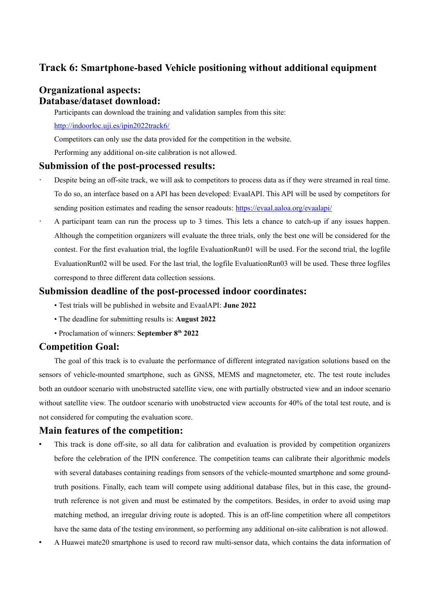# **Track 6: Smartphone-based Vehicle positioning without additional equipment**

# **Organizational aspects: Database/dataset download:**

Participants can download the training and validation samples from this site:

[http://indoorloc.uji.es/ipin2022track6/](http://indoorloc.uji.es/ipin2021track6/)

Competitors can only use the data provided for the competition in the website.

Performing any additional on-site calibration is not allowed.

#### **Submission of the post-processed results:**

- Despite being an off-site track, we will ask to competitors to process data as if they were streamed in real time. To do so, an interface based on a API has been developed: EvaalAPI. This API will be used by competitors for sending position estimates and reading the sensor readouts: <https://evaal.aaloa.org/evaalapi/>
- A participant team can run the process up to 3 times. This lets a chance to catch-up if any issues happen. Although the competition organizers will evaluate the three trials, only the best one will be considered for the contest. For the first evaluation trial, the logfile EvaluationRun01 will be used. For the second trial, the logfile EvaluationRun02 will be used. For the last trial, the logfile EvaluationRun03 will be used. These three logfiles correspond to three different data collection sessions.

#### **Submission deadline of the post-processed indoor coordinates:**

- Test trials will be published in website and EvaalAPI: **June 2022**
- The deadline for submitting results is: **August 2022**
- Proclamation of winners: **September 8th 2022**

## **Competition Goal:**

The goal of this track is to evaluate the performance of different integrated navigation solutions based on the sensors of vehicle-mounted smartphone, such as GNSS, MEMS and magnetometer, etc. The test route includes both an outdoor scenario with unobstructed satellite view, one with partially obstructed view and an indoor scenario without satellite view. The outdoor scenario with unobstructed view accounts for 40% of the total test route, and is not considered for computing the evaluation score.

## **Main features of the competition:**

- This track is done off-site, so all data for calibration and evaluation is provided by competition organizers before the celebration of the IPIN conference. The competition teams can calibrate their algorithmic models with several databases containing readings from sensors of the vehicle-mounted smartphone and some groundtruth positions. Finally, each team will compete using additional database files, but in this case, the groundtruth reference is not given and must be estimated by the competitors. Besides, in order to avoid using map matching method, an irregular driving route is adopted. This is an off-line competition where all competitors have the same data of the testing environment, so performing any additional on-site calibration is not allowed.
- A Huawei mate20 smartphone is used to record raw multi-sensor data, which contains the data information of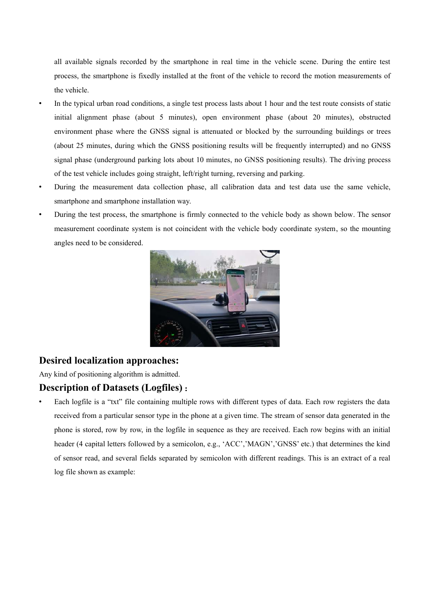all available signals recorded by the smartphone in real time in the vehicle scene. During the entire test process, the smartphone is fixedly installed at the front of the vehicle to record the motion measurements of the vehicle.

- In the typical urban road conditions, a single test process lasts about 1 hour and the test route consists of static initial alignment phase (about 5 minutes), open environment phase (about 20 minutes), obstructed environment phase where the GNSS signal is attenuated or blocked by the surrounding buildings or trees (about 25 minutes, during which the GNSS positioning results will be frequently interrupted) and no GNSS signal phase (underground parking lots about 10 minutes, no GNSS positioning results). The driving process of the test vehicle includes going straight, left/right turning, reversing and parking.
- During the measurement data collection phase, all calibration data and test data use the same vehicle, smartphone and smartphone installation way.
- During the test process, the smartphone is firmly connected to the vehicle body as shown below. The sensor measurement coordinate system is not coincident with the vehicle body coordinate system, so the mounting angles need to be considered.



## **Desired localization approaches:**

Any kind of positioning algorithm is admitted.

## **Description of Datasets (Logfiles)**:

 Each logfile is a "txt" file containing multiple rows with different types of data. Each row registers the data received from a particular sensor type in the phone at a given time. The stream of sensor data generated in the phone is stored, row by row, in the logfile in sequence as they are received. Each row begins with an initial header (4 capital letters followed by a semicolon, e.g., 'ACC','MAGN','GNSS' etc.) that determines the kind of sensor read, and several fields separated by semicolon with different readings. This is an extract of a real log file shown as example: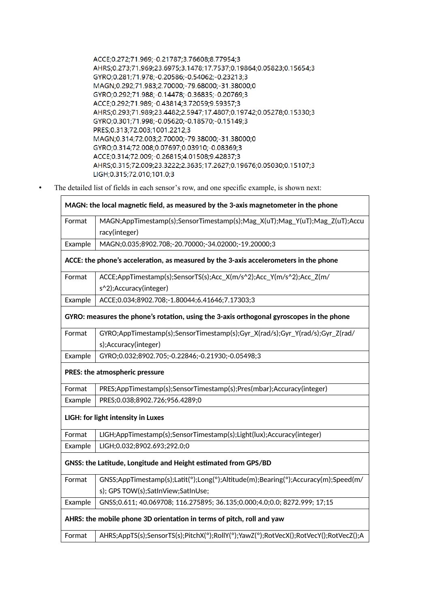ACCE;0.272;71.969;-0.21787;3.76608;8.77954;3 AHRS;0.273;71.969;23.6975;3.1478;17.7537;0.19864;0.05823;0.15654;3 GYRO:0.281:71.978:-0.20586:-0.54062:-0.23213:3 MAGN;0.292;71.983;2.70000;-79.68000;-31.38000;0 GYRO;0.292;71.988;-0.14478;-0.36835;-0.20769;3 ACCE;0.292;71.989;-0.43814;3.72059;9.59357;3 AHRS;0.293;71.989;23.4482;2.5947;17.4807;0.19742;0.05278;0.15330;3 GYRO;0.301;71.998;-0.05620;-0.18570;-0.15149;3 PRES;0.313;72.003;1001.2212;3 MAGN;0.314;72.003;2.70000;-79.38000;-31.38000;0 GYRO;0.314;72.008;0.07697;0.03910;-0.08369;3 ACCE;0.314;72.009;-0.26815;4.01508;9.42837;3 AHRS;0.315;72.009;23.3222;2.3635;17.2627;0.19676;0.05030;0.15107;3 LIGH; 0.315; 72.010; 101.0; 3

The detailed list of fields in each sensor's row, and one specific example, is shown next:

| MAGN: the local magnetic field, as measured by the 3-axis magnetometer in the phone      |                                                                                      |
|------------------------------------------------------------------------------------------|--------------------------------------------------------------------------------------|
| Format                                                                                   | MAGN;AppTimestamp(s);SensorTimestamp(s);Mag_X(uT);Mag_Y(uT);Mag_Z(uT);Accu           |
|                                                                                          | racy(integer)                                                                        |
| Example                                                                                  | MAGN;0.035;8902.708;-20.70000;-34.02000;-19.20000;3                                  |
| ACCE: the phone's acceleration, as measured by the 3-axis accelerometers in the phone    |                                                                                      |
| Format                                                                                   | ACCE;AppTimestamp(s);SensorTS(s);Acc_X(m/s^2);Acc_Y(m/s^2);Acc_Z(m/                  |
|                                                                                          | s^2);Accuracy(integer)                                                               |
| Example                                                                                  | ACCE;0.034;8902.708;-1.80044;6.41646;7.17303;3                                       |
| GYRO: measures the phone's rotation, using the 3-axis orthogonal gyroscopes in the phone |                                                                                      |
| Format                                                                                   | GYRO;AppTimestamp(s);SensorTimestamp(s);Gyr_X(rad/s);Gyr_Y(rad/s);Gyr_Z(rad/         |
|                                                                                          | s);Accuracy(integer)                                                                 |
| Example                                                                                  | GYRO;0.032;8902.705;-0.22846;-0.21930;-0.05498;3                                     |
| PRES: the atmospheric pressure                                                           |                                                                                      |
| Format                                                                                   | PRES;AppTimestamp(s);SensorTimestamp(s);Pres(mbar);Accuracy(integer)                 |
| Example                                                                                  | PRES;0.038;8902.726;956.4289;0                                                       |
| LIGH: for light intensity in Luxes                                                       |                                                                                      |
| Format                                                                                   | LIGH;AppTimestamp(s);SensorTimestamp(s);Light(lux);Accuracy(integer)                 |
| Example                                                                                  | LIGH;0.032;8902.693;292.0;0                                                          |
| GNSS: the Latitude, Longitude and Height estimated from GPS/BD                           |                                                                                      |
| Format                                                                                   | GNSS;AppTimestamp(s);Latit(°);Long(°);Altitude(m);Bearing(°);Accuracy(m);Speed(m/    |
|                                                                                          | s); GPS TOW(s); SatInView; SatInUse;                                                 |
| Example                                                                                  | GNSS;0.611; 40.069708; 116.275895; 36.135;0.000;4.0;0.0; 8272.999; 17;15             |
| AHRS: the mobile phone 3D orientation in terms of pitch, roll and yaw                    |                                                                                      |
| Format                                                                                   | AHRS;AppTS(s);SensorTS(s);PitchX(°);RollY(°);YawZ(°);RotVecX();RotVecY();RotVecZ();A |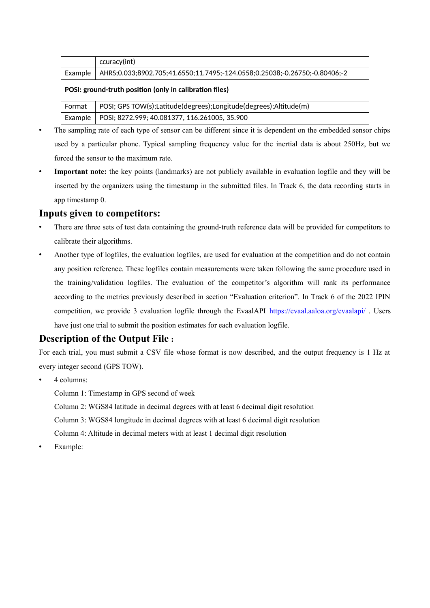|                                                         | ccuracy(int)                                                               |  |
|---------------------------------------------------------|----------------------------------------------------------------------------|--|
| Example                                                 | AHRS;0.033;8902.705;41.6550;11.7495;-124.0558;0.25038;-0.26750;-0.80406;-2 |  |
| POSI: ground-truth position (only in calibration files) |                                                                            |  |
| Format                                                  | POSI; GPS TOW(s); Latitude (degrees); Longitude (degrees); Altitude (m)    |  |
| Example                                                 | POSI; 8272.999; 40.081377, 116.261005, 35.900                              |  |

- The sampling rate of each type of sensor can be different since it is dependent on the embedded sensor chips used by a particular phone. Typical sampling frequency value for the inertial data is about 250Hz, but we forced the sensor to the maximum rate.
- **Important note:** the key points (landmarks) are not publicly available in evaluation logfile and they will be inserted by the organizers using the timestamp in the submitted files. In Track 6, the data recording starts in app timestamp 0.

## **Inputs given to competitors:**

- There are three sets of test data containing the ground-truth reference data will be provided for competitors to calibrate their algorithms.
- Another type of logfiles, the evaluation logfiles, are used for evaluation at the competition and do not contain any position reference. These logfiles contain measurements were taken following the same procedure used in the training/validation logfiles. The evaluation of the competitor's algorithm will rank its performance according to the metrics previously described in section "Evaluation criterion". In Track 6 of the 2022 IPIN competition, we provide 3 evaluation logfile through the EvaalAPI <https://evaal.aaloa.org/evaalapi/>. Users have just one trial to submit the position estimates for each evaluation logfile.

# **Description of the Output File**:

For each trial, you must submit a CSV file whose format is now described, and the output frequency is 1 Hz at every integer second (GPS TOW).

4 columns:

Column 1: Timestamp in GPS second of week

Column 2: WGS84 latitude in decimal degrees with at least 6 decimal digit resolution Column 3: WGS84 longitude in decimal degrees with at least 6 decimal digit resolution

Column 4: Altitude in decimal meters with at least 1 decimal digit resolution

Example: